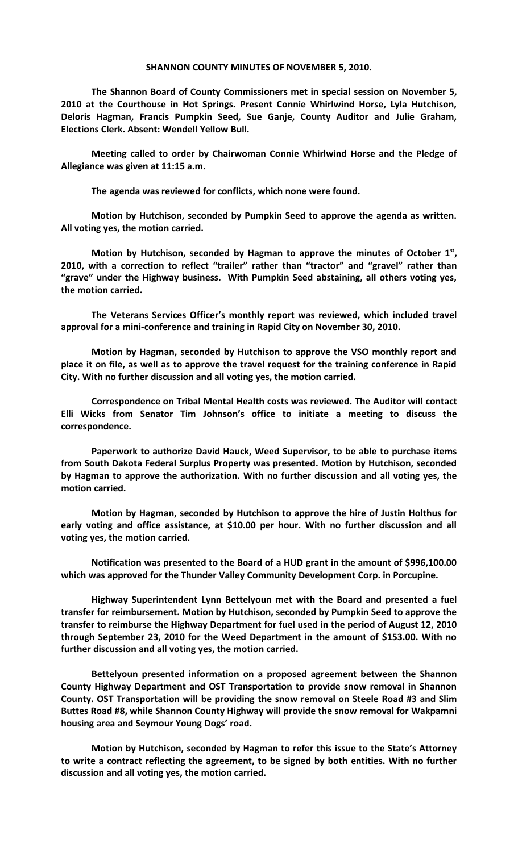## **SHANNON COUNTY MINUTES OF NOVEMBER 5, 2010.**

**The Shannon Board of County Commissioners met in special session on November 5, 2010 at the Courthouse in Hot Springs. Present Connie Whirlwind Horse, Lyla Hutchison, Deloris Hagman, Francis Pumpkin Seed, Sue Ganje, County Auditor and Julie Graham, Elections Clerk. Absent: Wendell Yellow Bull.** 

**Meeting called to order by Chairwoman Connie Whirlwind Horse and the Pledge of Allegiance was given at 11:15 a.m.**

**The agenda was reviewed for conflicts, which none were found.**

**Motion by Hutchison, seconded by Pumpkin Seed to approve the agenda as written. All voting yes, the motion carried.**

Motion by Hutchison, seconded by Hagman to approve the minutes of October 1<sup>st</sup>, **2010, with a correction to reflect "trailer" rather than "tractor" and "gravel" rather than "grave" under the Highway business. With Pumpkin Seed abstaining, all others voting yes, the motion carried.**

**The Veterans Services Officer's monthly report was reviewed, which included travel approval for a mini-conference and training in Rapid City on November 30, 2010.**

**Motion by Hagman, seconded by Hutchison to approve the VSO monthly report and place it on file, as well as to approve the travel request for the training conference in Rapid City. With no further discussion and all voting yes, the motion carried.**

**Correspondence on Tribal Mental Health costs was reviewed. The Auditor will contact Elli Wicks from Senator Tim Johnson's office to initiate a meeting to discuss the correspondence.**

**Paperwork to authorize David Hauck, Weed Supervisor, to be able to purchase items from South Dakota Federal Surplus Property was presented. Motion by Hutchison, seconded by Hagman to approve the authorization. With no further discussion and all voting yes, the motion carried.**

**Motion by Hagman, seconded by Hutchison to approve the hire of Justin Holthus for early voting and office assistance, at \$10.00 per hour. With no further discussion and all voting yes, the motion carried.**

**Notification was presented to the Board of a HUD grant in the amount of \$996,100.00 which was approved for the Thunder Valley Community Development Corp. in Porcupine.**

**Highway Superintendent Lynn Bettelyoun met with the Board and presented a fuel transfer for reimbursement. Motion by Hutchison, seconded by Pumpkin Seed to approve the transfer to reimburse the Highway Department for fuel used in the period of August 12, 2010 through September 23, 2010 for the Weed Department in the amount of \$153.00. With no further discussion and all voting yes, the motion carried.**

**Bettelyoun presented information on a proposed agreement between the Shannon County Highway Department and OST Transportation to provide snow removal in Shannon County. OST Transportation will be providing the snow removal on Steele Road #3 and Slim Buttes Road #8, while Shannon County Highway will provide the snow removal for Wakpamni housing area and Seymour Young Dogs' road.**

**Motion by Hutchison, seconded by Hagman to refer this issue to the State's Attorney to write a contract reflecting the agreement, to be signed by both entities. With no further discussion and all voting yes, the motion carried.**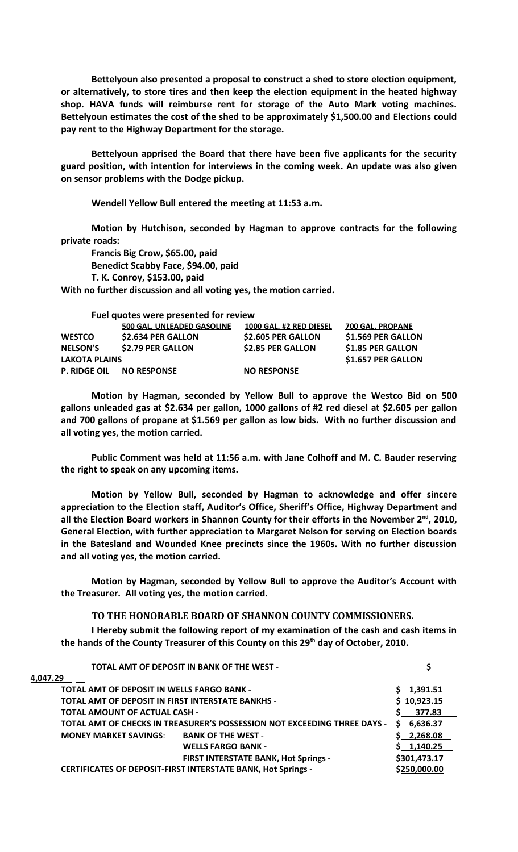**Bettelyoun also presented a proposal to construct a shed to store election equipment, or alternatively, to store tires and then keep the election equipment in the heated highway shop. HAVA funds will reimburse rent for storage of the Auto Mark voting machines. Bettelyoun estimates the cost of the shed to be approximately \$1,500.00 and Elections could pay rent to the Highway Department for the storage.**

**Bettelyoun apprised the Board that there have been five applicants for the security guard position, with intention for interviews in the coming week. An update was also given on sensor problems with the Dodge pickup.**

**Wendell Yellow Bull entered the meeting at 11:53 a.m.**

**Motion by Hutchison, seconded by Hagman to approve contracts for the following private roads:**

**Francis Big Crow, \$65.00, paid Benedict Scabby Face, \$94.00, paid T. K. Conroy, \$153.00, paid**

**With no further discussion and all voting yes, the motion carried.**

|                      | Fuel quotes were presented for review |                          |                    |
|----------------------|---------------------------------------|--------------------------|--------------------|
|                      | 500 GAL. UNLEADED GASOLINE            | 1000 GAL. #2 RED DIESEL  | 700 GAL. PROPANE   |
| <b>WESTCO</b>        | \$2.634 PER GALLON                    | \$2.605 PER GALLON       | \$1.569 PER GALLON |
| <b>NELSON'S</b>      | \$2.79 PER GALLON                     | <b>\$2.85 PER GALLON</b> | \$1.85 PER GALLON  |
| <b>LAKOTA PLAINS</b> |                                       |                          | \$1.657 PER GALLON |
| <b>P. RIDGE OIL</b>  | <b>NO RESPONSE</b>                    | <b>NO RESPONSE</b>       |                    |

**Motion by Hagman, seconded by Yellow Bull to approve the Westco Bid on 500 gallons unleaded gas at \$2.634 per gallon, 1000 gallons of #2 red diesel at \$2.605 per gallon and 700 gallons of propane at \$1.569 per gallon as low bids. With no further discussion and all voting yes, the motion carried.**

**Public Comment was held at 11:56 a.m. with Jane Colhoff and M. C. Bauder reserving the right to speak on any upcoming items.**

**Motion by Yellow Bull, seconded by Hagman to acknowledge and offer sincere appreciation to the Election staff, Auditor's Office, Sheriff's Office, Highway Department and all the Election Board workers in Shannon County for their efforts in the November 2nd, 2010, General Election, with further appreciation to Margaret Nelson for serving on Election boards in the Batesland and Wounded Knee precincts since the 1960s. With no further discussion and all voting yes, the motion carried.**

**Motion by Hagman, seconded by Yellow Bull to approve the Auditor's Account with the Treasurer. All voting yes, the motion carried.**

## **TO THE HONORABLE BOARD OF SHANNON COUNTY COMMISSIONERS.**

**I Hereby submit the following report of my examination of the cash and cash items in the hands of the County Treasurer of this County on this 29th day of October, 2010.**

| TOTAL AMT OF DEPOSIT IN BANK OF THE WEST -                               |              |
|--------------------------------------------------------------------------|--------------|
| 4.047.29                                                                 |              |
| <b>TOTAL AMT OF DEPOSIT IN WELLS FARGO BANK -</b>                        | \$1,391.51   |
| TOTAL AMT OF DEPOSIT IN FIRST INTERSTATE BANKHS -                        | \$10,923.15  |
| <b>TOTAL AMOUNT OF ACTUAL CASH -</b>                                     | 377.83       |
| TOTAL AMT OF CHECKS IN TREASURER'S POSSESSION NOT EXCEEDING THREE DAYS - | \$6,636.37   |
| <b>MONEY MARKET SAVINGS:</b><br><b>BANK OF THE WEST -</b>                | \$2,268.08   |
| <b>WELLS FARGO BANK -</b>                                                | \$1,140.25   |
| <b>FIRST INTERSTATE BANK, Hot Springs -</b>                              | \$301,473.17 |
| <b>CERTIFICATES OF DEPOSIT-FIRST INTERSTATE BANK, Hot Springs -</b>      | \$250,000.00 |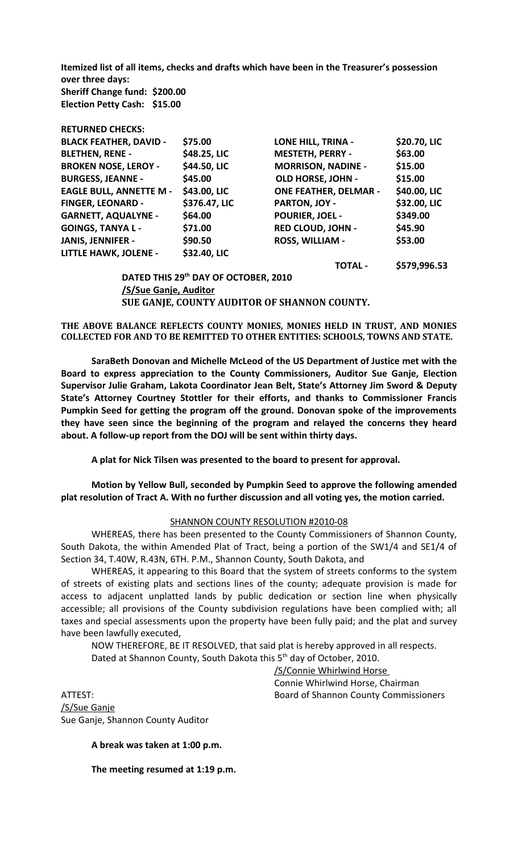**Itemized list of all items, checks and drafts which have been in the Treasurer's possession over three days: Sheriff Change fund: \$200.00 Election Petty Cash: \$15.00**

| KETUKNED LAELKS:               |                                      |                              |              |
|--------------------------------|--------------------------------------|------------------------------|--------------|
| <b>BLACK FEATHER, DAVID -</b>  | \$75.00                              | <b>LONE HILL, TRINA -</b>    | \$20.70, LIC |
| <b>BLETHEN, RENE -</b>         | \$48.25, LIC                         | <b>MESTETH, PERRY -</b>      | \$63.00      |
| <b>BROKEN NOSE, LEROY -</b>    | \$44.50, LIC                         | <b>MORRISON, NADINE -</b>    | \$15.00      |
| <b>BURGESS, JEANNE -</b>       | \$45.00                              | <b>OLD HORSE, JOHN -</b>     | \$15.00      |
| <b>EAGLE BULL, ANNETTE M -</b> | \$43.00, LIC                         | <b>ONE FEATHER, DELMAR -</b> | \$40.00, LIC |
| <b>FINGER, LEONARD -</b>       | \$376.47, LIC                        | PARTON, JOY -                | \$32.00, LIC |
| <b>GARNETT, AQUALYNE -</b>     | \$64.00                              | <b>POURIER, JOEL -</b>       | \$349.00     |
| <b>GOINGS, TANYA L -</b>       | \$71.00                              | <b>RED CLOUD, JOHN -</b>     | \$45.90      |
| <b>JANIS, JENNIFER -</b>       | \$90.50                              | <b>ROSS, WILLIAM -</b>       | \$53.00      |
| <b>LITTLE HAWK, JOLENE -</b>   | \$32.40, LIC                         |                              |              |
|                                |                                      | <b>TOTAL -</b>               | \$579,996.53 |
|                                | DATED THIS 29th DAY OF OCTOBER, 2010 |                              |              |
|                                |                                      |                              |              |

**/S/Sue Ganje, Auditor SUE GANJE, COUNTY AUDITOR OF SHANNON COUNTY.**

**THE ABOVE BALANCE REFLECTS COUNTY MONIES, MONIES HELD IN TRUST, AND MONIES COLLECTED FOR AND TO BE REMITTED TO OTHER ENTITIES: SCHOOLS, TOWNS AND STATE.**

**SaraBeth Donovan and Michelle McLeod of the US Department of Justice met with the Board to express appreciation to the County Commissioners, Auditor Sue Ganje, Election Supervisor Julie Graham, Lakota Coordinator Jean Belt, State's Attorney Jim Sword & Deputy State's Attorney Courtney Stottler for their efforts, and thanks to Commissioner Francis Pumpkin Seed for getting the program off the ground. Donovan spoke of the improvements they have seen since the beginning of the program and relayed the concerns they heard about. A follow-up report from the DOJ will be sent within thirty days.**

**A plat for Nick Tilsen was presented to the board to present for approval.**

**Motion by Yellow Bull, seconded by Pumpkin Seed to approve the following amended plat resolution of Tract A. With no further discussion and all voting yes, the motion carried.**

## SHANNON COUNTY RESOLUTION #2010-08

WHEREAS, there has been presented to the County Commissioners of Shannon County, South Dakota, the within Amended Plat of Tract, being a portion of the SW1/4 and SE1/4 of Section 34, T.40W, R.43N, 6TH. P.M., Shannon County, South Dakota, and

WHEREAS, it appearing to this Board that the system of streets conforms to the system of streets of existing plats and sections lines of the county; adequate provision is made for access to adjacent unplatted lands by public dedication or section line when physically accessible; all provisions of the County subdivision regulations have been complied with; all taxes and special assessments upon the property have been fully paid; and the plat and survey have been lawfully executed,

NOW THEREFORE, BE IT RESOLVED, that said plat is hereby approved in all respects.

Dated at Shannon County, South Dakota this 5<sup>th</sup> day of October, 2010.

/S/Connie Whirlwind Horse Connie Whirlwind Horse, Chairman ATTEST: Board of Shannon County Commissioners

/S/Sue Ganje Sue Ganje, Shannon County Auditor

**RETURNED CHECKS:**

**A break was taken at 1:00 p.m.**

**The meeting resumed at 1:19 p.m.**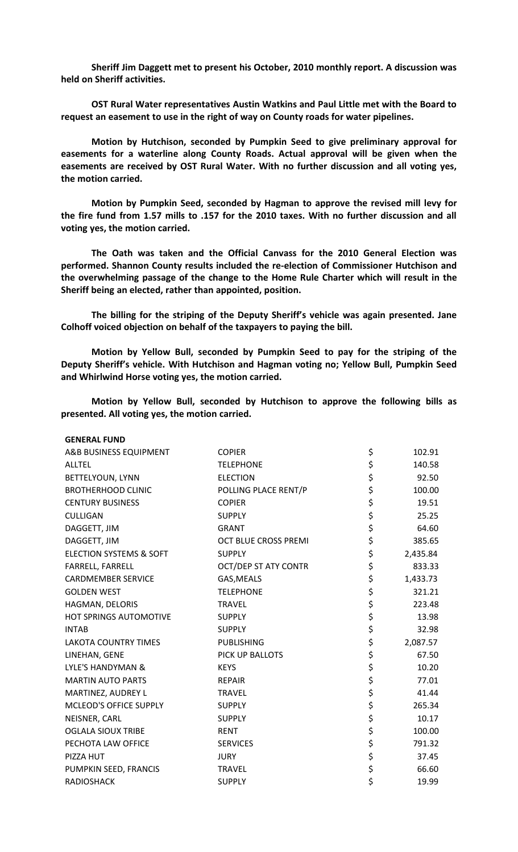**Sheriff Jim Daggett met to present his October, 2010 monthly report. A discussion was held on Sheriff activities.**

**OST Rural Water representatives Austin Watkins and Paul Little met with the Board to request an easement to use in the right of way on County roads for water pipelines.**

**Motion by Hutchison, seconded by Pumpkin Seed to give preliminary approval for easements for a waterline along County Roads. Actual approval will be given when the easements are received by OST Rural Water. With no further discussion and all voting yes, the motion carried.**

**Motion by Pumpkin Seed, seconded by Hagman to approve the revised mill levy for the fire fund from 1.57 mills to .157 for the 2010 taxes. With no further discussion and all voting yes, the motion carried.**

**The Oath was taken and the Official Canvass for the 2010 General Election was performed. Shannon County results included the re-election of Commissioner Hutchison and the overwhelming passage of the change to the Home Rule Charter which will result in the Sheriff being an elected, rather than appointed, position.**

**The billing for the striping of the Deputy Sheriff's vehicle was again presented. Jane Colhoff voiced objection on behalf of the taxpayers to paying the bill.**

**Motion by Yellow Bull, seconded by Pumpkin Seed to pay for the striping of the Deputy Sheriff's vehicle. With Hutchison and Hagman voting no; Yellow Bull, Pumpkin Seed and Whirlwind Horse voting yes, the motion carried.**

**Motion by Yellow Bull, seconded by Hutchison to approve the following bills as presented. All voting yes, the motion carried.**

| <b>GENERAL FUND</b>                |                             |                |
|------------------------------------|-----------------------------|----------------|
| A&B BUSINESS EQUIPMENT             | <b>COPIER</b>               | \$<br>102.91   |
| <b>ALLTEL</b>                      | <b>TELEPHONE</b>            | \$<br>140.58   |
| BETTELYOUN, LYNN                   | <b>ELECTION</b>             | \$<br>92.50    |
| <b>BROTHERHOOD CLINIC</b>          | POLLING PLACE RENT/P        | \$<br>100.00   |
| <b>CENTURY BUSINESS</b>            | <b>COPIER</b>               | \$<br>19.51    |
| <b>CULLIGAN</b>                    | <b>SUPPLY</b>               | \$<br>25.25    |
| DAGGETT, JIM                       | <b>GRANT</b>                | \$<br>64.60    |
| DAGGETT, JIM                       | <b>OCT BLUE CROSS PREMI</b> | \$<br>385.65   |
| <b>ELECTION SYSTEMS &amp; SOFT</b> | <b>SUPPLY</b>               | \$<br>2,435.84 |
| FARRELL, FARRELL                   | <b>OCT/DEP ST ATY CONTR</b> | \$<br>833.33   |
| <b>CARDMEMBER SERVICE</b>          | GAS, MEALS                  | \$<br>1,433.73 |
| <b>GOLDEN WEST</b>                 | <b>TELEPHONE</b>            | \$<br>321.21   |
| HAGMAN, DELORIS                    | <b>TRAVEL</b>               | \$<br>223.48   |
| HOT SPRINGS AUTOMOTIVE             | <b>SUPPLY</b>               | \$<br>13.98    |
| <b>INTAB</b>                       | <b>SUPPLY</b>               | \$<br>32.98    |
| <b>LAKOTA COUNTRY TIMES</b>        | <b>PUBLISHING</b>           | \$<br>2,087.57 |
| LINEHAN, GENE                      | PICK UP BALLOTS             | \$<br>67.50    |
| <b>LYLE'S HANDYMAN &amp;</b>       | <b>KEYS</b>                 | \$<br>10.20    |
| <b>MARTIN AUTO PARTS</b>           | <b>REPAIR</b>               | \$<br>77.01    |
| MARTINEZ, AUDREY L                 | <b>TRAVEL</b>               | \$<br>41.44    |
| MCLEOD'S OFFICE SUPPLY             | <b>SUPPLY</b>               | \$<br>265.34   |
| NEISNER, CARL                      | <b>SUPPLY</b>               | \$<br>10.17    |
| <b>OGLALA SIOUX TRIBE</b>          | <b>RENT</b>                 | \$<br>100.00   |
| PECHOTA LAW OFFICE                 | <b>SERVICES</b>             | \$<br>791.32   |
| PIZZA HUT                          | <b>JURY</b>                 | \$<br>37.45    |
| PUMPKIN SEED, FRANCIS              | <b>TRAVEL</b>               | \$<br>66.60    |
| <b>RADIOSHACK</b>                  | <b>SUPPLY</b>               | \$<br>19.99    |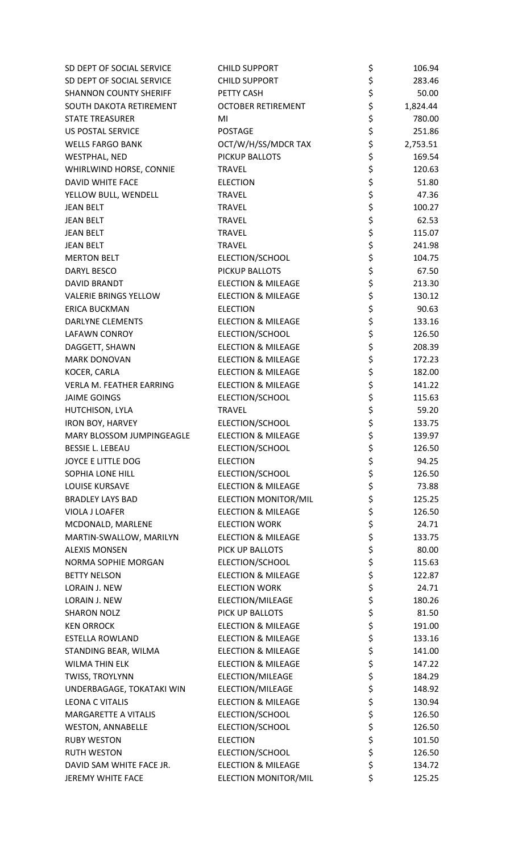| SD DEPT OF SOCIAL SERVICE                      | <b>CHILD SUPPORT</b>                             | \$       | 106.94           |
|------------------------------------------------|--------------------------------------------------|----------|------------------|
| SD DEPT OF SOCIAL SERVICE                      | <b>CHILD SUPPORT</b>                             | \$       | 283.46           |
| <b>SHANNON COUNTY SHERIFF</b>                  | PETTY CASH                                       | \$       | 50.00            |
| SOUTH DAKOTA RETIREMENT                        | <b>OCTOBER RETIREMENT</b>                        | \$       | 1,824.44         |
| <b>STATE TREASURER</b>                         | MI                                               | \$       | 780.00           |
| <b>US POSTAL SERVICE</b>                       | <b>POSTAGE</b>                                   | \$       | 251.86           |
| <b>WELLS FARGO BANK</b>                        | OCT/W/H/SS/MDCR TAX                              | \$       | 2,753.51         |
| <b>WESTPHAL, NED</b>                           | PICKUP BALLOTS                                   | \$       | 169.54           |
| WHIRLWIND HORSE, CONNIE                        | <b>TRAVEL</b>                                    | \$       | 120.63           |
| <b>DAVID WHITE FACE</b>                        | <b>ELECTION</b>                                  | \$       | 51.80            |
| YELLOW BULL, WENDELL                           | <b>TRAVEL</b>                                    | \$       | 47.36            |
| <b>JEAN BELT</b>                               | <b>TRAVEL</b>                                    | \$       | 100.27           |
| <b>JEAN BELT</b>                               | <b>TRAVEL</b>                                    | \$       | 62.53            |
| <b>JEAN BELT</b>                               | <b>TRAVEL</b>                                    | \$       | 115.07           |
| <b>JEAN BELT</b>                               | <b>TRAVEL</b>                                    | \$       | 241.98           |
| <b>MERTON BELT</b>                             | ELECTION/SCHOOL                                  | \$       | 104.75           |
| <b>DARYL BESCO</b>                             | PICKUP BALLOTS                                   | \$       | 67.50            |
| <b>DAVID BRANDT</b>                            | <b>ELECTION &amp; MILEAGE</b>                    | \$       | 213.30           |
| <b>VALERIE BRINGS YELLOW</b>                   | <b>ELECTION &amp; MILEAGE</b>                    | \$       | 130.12           |
| ERICA BUCKMAN                                  | <b>ELECTION</b>                                  | \$       | 90.63            |
| DARLYNE CLEMENTS                               | <b>ELECTION &amp; MILEAGE</b>                    | \$       | 133.16           |
| <b>LAFAWN CONROY</b>                           | ELECTION/SCHOOL                                  | \$       | 126.50           |
| DAGGETT, SHAWN                                 | <b>ELECTION &amp; MILEAGE</b>                    | \$       | 208.39           |
| <b>MARK DONOVAN</b>                            | <b>ELECTION &amp; MILEAGE</b>                    | \$       | 172.23           |
| KOCER, CARLA                                   | <b>ELECTION &amp; MILEAGE</b>                    | \$       | 182.00           |
| VERLA M. FEATHER EARRING                       | <b>ELECTION &amp; MILEAGE</b>                    | \$       | 141.22           |
| <b>JAIME GOINGS</b>                            | ELECTION/SCHOOL                                  | \$       | 115.63           |
| HUTCHISON, LYLA                                | <b>TRAVEL</b>                                    | \$       | 59.20            |
| <b>IRON BOY, HARVEY</b>                        | ELECTION/SCHOOL                                  | \$       | 133.75           |
| MARY BLOSSOM JUMPINGEAGLE                      | <b>ELECTION &amp; MILEAGE</b>                    | \$       | 139.97           |
| <b>BESSIE L. LEBEAU</b>                        | ELECTION/SCHOOL                                  | \$       | 126.50           |
| JOYCE E LITTLE DOG                             | <b>ELECTION</b>                                  | \$       | 94.25            |
| <b>SOPHIA LONE HILL</b>                        | ELECTION/SCHOOL                                  | \$       | 126.50           |
| <b>LOUISE KURSAVE</b>                          | <b>ELECTION &amp; MILEAGE</b>                    | \$       | 73.88            |
| <b>BRADLEY LAYS BAD</b>                        | <b>ELECTION MONITOR/MIL</b>                      | \$       | 125.25           |
| VIOLA J LOAFER                                 | <b>ELECTION &amp; MILEAGE</b>                    | \$       | 126.50           |
| MCDONALD, MARLENE                              | <b>ELECTION WORK</b>                             | \$       | 24.71            |
| MARTIN-SWALLOW, MARILYN                        | <b>ELECTION &amp; MILEAGE</b>                    | \$       | 133.75           |
| <b>ALEXIS MONSEN</b>                           | PICK UP BALLOTS                                  | \$       | 80.00            |
| NORMA SOPHIE MORGAN                            | ELECTION/SCHOOL                                  | \$       | 115.63           |
| <b>BETTY NELSON</b>                            | <b>ELECTION &amp; MILEAGE</b>                    | \$       | 122.87           |
| <b>LORAIN J. NEW</b>                           | <b>ELECTION WORK</b>                             | \$       | 24.71            |
| <b>LORAIN J. NEW</b>                           | ELECTION/MILEAGE                                 | \$       | 180.26           |
| <b>SHARON NOLZ</b>                             | PICK UP BALLOTS                                  | \$       | 81.50            |
| <b>KEN ORROCK</b>                              | <b>ELECTION &amp; MILEAGE</b>                    | \$       | 191.00           |
| <b>ESTELLA ROWLAND</b>                         | <b>ELECTION &amp; MILEAGE</b>                    | \$       | 133.16           |
| STANDING BEAR, WILMA                           | <b>ELECTION &amp; MILEAGE</b>                    | \$       | 141.00           |
| <b>WILMA THIN ELK</b>                          | <b>ELECTION &amp; MILEAGE</b>                    | \$       | 147.22           |
| TWISS, TROYLYNN                                | ELECTION/MILEAGE                                 | \$       | 184.29           |
| UNDERBAGAGE, TOKATAKI WIN                      | ELECTION/MILEAGE                                 | \$       | 148.92           |
| <b>LEONA C VITALIS</b>                         | <b>ELECTION &amp; MILEAGE</b>                    | \$       | 130.94           |
| <b>MARGARETTE A VITALIS</b>                    | ELECTION/SCHOOL                                  | \$       | 126.50           |
| <b>WESTON, ANNABELLE</b>                       | ELECTION/SCHOOL                                  | \$       | 126.50           |
| <b>RUBY WESTON</b>                             | <b>ELECTION</b>                                  | \$<br>\$ | 101.50           |
| <b>RUTH WESTON</b><br>DAVID SAM WHITE FACE JR. | ELECTION/SCHOOL<br><b>ELECTION &amp; MILEAGE</b> | \$       | 126.50<br>134.72 |
| JEREMY WHITE FACE                              | ELECTION MONITOR/MIL                             | \$       | 125.25           |
|                                                |                                                  |          |                  |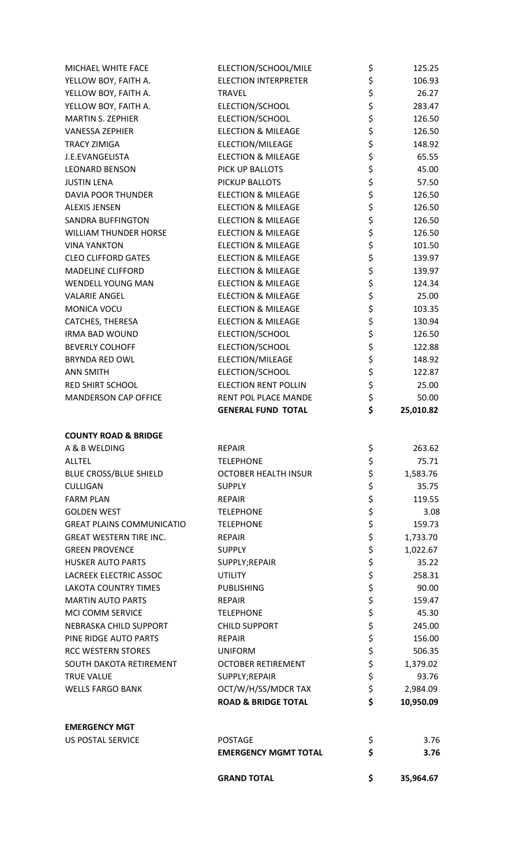| MICHAEL WHITE FACE               | ELECTION/SCHOOL/MILE           | \$<br>125.25    |
|----------------------------------|--------------------------------|-----------------|
| YELLOW BOY, FAITH A.             | <b>ELECTION INTERPRETER</b>    | \$<br>106.93    |
| YELLOW BOY, FAITH A.             | <b>TRAVEL</b>                  | \$<br>26.27     |
| YELLOW BOY, FAITH A.             | ELECTION/SCHOOL                | \$<br>283.47    |
| <b>MARTIN S. ZEPHIER</b>         | ELECTION/SCHOOL                | \$<br>126.50    |
| <b>VANESSA ZEPHIER</b>           | <b>ELECTION &amp; MILEAGE</b>  | \$<br>126.50    |
| <b>TRACY ZIMIGA</b>              | ELECTION/MILEAGE               | \$<br>148.92    |
| J.E.EVANGELISTA                  | <b>ELECTION &amp; MILEAGE</b>  | \$<br>65.55     |
| <b>LEONARD BENSON</b>            | PICK UP BALLOTS                | \$<br>45.00     |
| <b>JUSTIN LENA</b>               | PICKUP BALLOTS                 | \$<br>57.50     |
| <b>DAVIA POOR THUNDER</b>        | <b>ELECTION &amp; MILEAGE</b>  | \$<br>126.50    |
| <b>ALEXIS JENSEN</b>             | <b>ELECTION &amp; MILEAGE</b>  | \$<br>126.50    |
| <b>SANDRA BUFFINGTON</b>         | <b>ELECTION &amp; MILEAGE</b>  | \$<br>126.50    |
| <b>WILLIAM THUNDER HORSE</b>     | <b>ELECTION &amp; MILEAGE</b>  | \$<br>126.50    |
| <b>VINA YANKTON</b>              | <b>ELECTION &amp; MILEAGE</b>  | \$<br>101.50    |
| <b>CLEO CLIFFORD GATES</b>       | <b>ELECTION &amp; MILEAGE</b>  | \$<br>139.97    |
| <b>MADELINE CLIFFORD</b>         | <b>ELECTION &amp; MILEAGE</b>  | \$<br>139.97    |
| <b>WENDELL YOUNG MAN</b>         | <b>ELECTION &amp; MILEAGE</b>  | \$<br>124.34    |
| <b>VALARIE ANGEL</b>             | <b>ELECTION &amp; MILEAGE</b>  | \$<br>25.00     |
| MONICA VOCU                      | <b>ELECTION &amp; MILEAGE</b>  | \$<br>103.35    |
| CATCHES, THERESA                 | <b>ELECTION &amp; MILEAGE</b>  | \$<br>130.94    |
| <b>IRMA BAD WOUND</b>            | ELECTION/SCHOOL                | \$<br>126.50    |
| <b>BEVERLY COLHOFF</b>           | ELECTION/SCHOOL                | \$<br>122.88    |
| <b>BRYNDA RED OWL</b>            | ELECTION/MILEAGE               | \$<br>148.92    |
| <b>ANN SMITH</b>                 | ELECTION/SCHOOL                | \$<br>122.87    |
| <b>RED SHIRT SCHOOL</b>          | <b>ELECTION RENT POLLIN</b>    | \$<br>25.00     |
| <b>MANDERSON CAP OFFICE</b>      | RENT POL PLACE MANDE           | \$<br>50.00     |
|                                  | <b>GENERAL FUND TOTAL</b>      | \$<br>25,010.82 |
| <b>COUNTY ROAD &amp; BRIDGE</b>  |                                |                 |
| A & B WELDING                    | <b>REPAIR</b>                  | \$<br>263.62    |
| <b>ALLTEL</b>                    | <b>TELEPHONE</b>               | \$<br>75.71     |
| <b>BLUE CROSS/BLUE SHIELD</b>    | <b>OCTOBER HEALTH INSUR</b>    | \$<br>1,583.76  |
| <b>CULLIGAN</b>                  | <b>SUPPLY</b>                  | \$<br>35.75     |
| <b>FARM PLAN</b>                 | <b>REPAIR</b>                  | \$<br>119.55    |
| <b>GOLDEN WEST</b>               | <b>TELEPHONE</b>               | \$<br>3.08      |
| <b>GREAT PLAINS COMMUNICATIO</b> | <b>TELEPHONE</b>               | \$<br>159.73    |
| <b>GREAT WESTERN TIRE INC.</b>   | <b>REPAIR</b>                  | \$<br>1,733.70  |
| <b>GREEN PROVENCE</b>            | <b>SUPPLY</b>                  | \$<br>1,022.67  |
| <b>HUSKER AUTO PARTS</b>         | SUPPLY;REPAIR                  | \$<br>35.22     |
| <b>LACREEK ELECTRIC ASSOC</b>    | <b>UTILITY</b>                 | \$<br>258.31    |
| <b>LAKOTA COUNTRY TIMES</b>      | <b>PUBLISHING</b>              | \$<br>90.00     |
| <b>MARTIN AUTO PARTS</b>         | <b>REPAIR</b>                  | \$<br>159.47    |
| MCI COMM SERVICE                 | <b>TELEPHONE</b>               | \$<br>45.30     |
| NEBRASKA CHILD SUPPORT           | <b>CHILD SUPPORT</b>           | \$<br>245.00    |
| PINE RIDGE AUTO PARTS            | <b>REPAIR</b>                  | \$<br>156.00    |
| <b>RCC WESTERN STORES</b>        | <b>UNIFORM</b>                 | \$<br>506.35    |
| SOUTH DAKOTA RETIREMENT          | <b>OCTOBER RETIREMENT</b>      | \$<br>1,379.02  |
| <b>TRUE VALUE</b>                | SUPPLY;REPAIR                  | \$<br>93.76     |
| <b>WELLS FARGO BANK</b>          | OCT/W/H/SS/MDCR TAX            | \$<br>2,984.09  |
|                                  | <b>ROAD &amp; BRIDGE TOTAL</b> | \$<br>10,950.09 |
| <b>EMERGENCY MGT</b>             |                                |                 |
| <b>US POSTAL SERVICE</b>         | <b>POSTAGE</b>                 | \$<br>3.76      |
|                                  | <b>EMERGENCY MGMT TOTAL</b>    | \$<br>3.76      |
|                                  | <b>GRAND TOTAL</b>             | \$<br>35,964.67 |